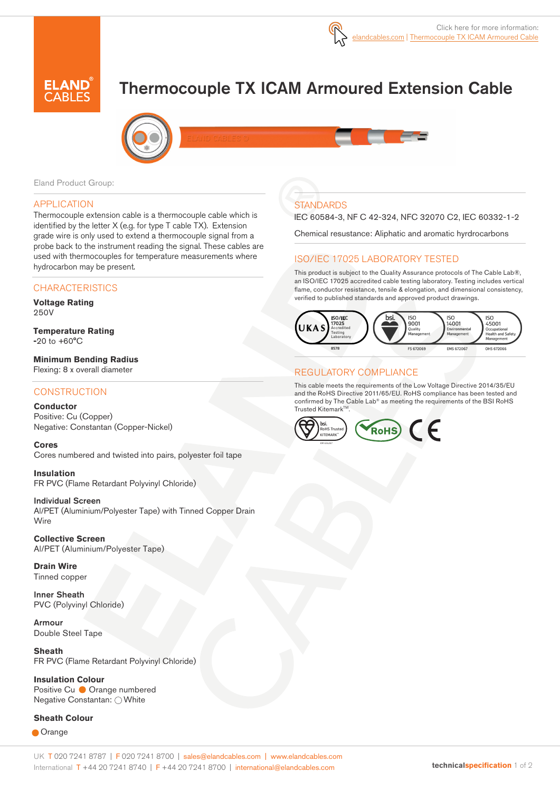

# Thermocouple TX ICAM Armoured Extension Cable



Eland Product Group:

### APPLICATION

Thermocouple extension cable is a thermocouple cable which is identified by the letter X (e.g. for type T cable TX). Extension grade wire is only used to extend a thermocouple signal from a probe back to the instrument reading the signal. These cables are used with thermocouples for temperature measurements where hydrocarbon may be present.

# **CHARACTERISTICS**

#### **Voltage Rating**  250V

**Temperature Rating -**20 to +60°C

**Minimum Bending Radius** Flexing: 8 x overall diameter

# **CONSTRUCTION**

**Conductor** Positive: Cu (Copper) Negative: Constantan (Copper-Nickel)

**Cores** 

Cores numbered and twisted into pairs, polyester foil tape

**Insulation** FR PVC (Flame Retardant Polyvinyl Chloride)

#### Individual Screen

Al/PET (Aluminium/Polyester Tape) with Tinned Copper Drain **Wire** 

**Collective Screen** Al/PET (Aluminium/Polyester Tape)

**Drain Wire**  Tinned copper

Inner Sheath PVC (Polyvinyl Chloride)

Armour Double Steel Tape

**Sheath**  FR PVC (Flame Retardant Polyvinyl Chloride)

**Insulation Colour**  Positive Cu ● Orange numbered Negative Constantan: O White

#### **Sheath Colour**

**Orange** 

# **STANDARDS**

IEC 60584-3, NF C 42-324, NFC 32070 C2, IEC 60332-1-2

Chemical resustance: Aliphatic and aromatic hyrdrocarbons

# ISO/IEC 17025 LABORATORY TESTED

This product is subject to the Quality Assurance protocols of The Cable Lab®, an ISO/IEC 17025 accredited cable testing laboratory. Testing includes vertical flame, conductor resistance, tensile & elongation, and dimensional consistency, verified to published standards and approved product drawings.



#### REGULATORY COMPLIANCE

This cable meets the requirements of the Low Voltage Directive 2014/35/EU and the RoHS Directive 2011/65/EU. RoHS compliance has been tested and confirmed by The Cable Lab® as meeting the requirements of the BSI RoHS Trusted Kitemark™.